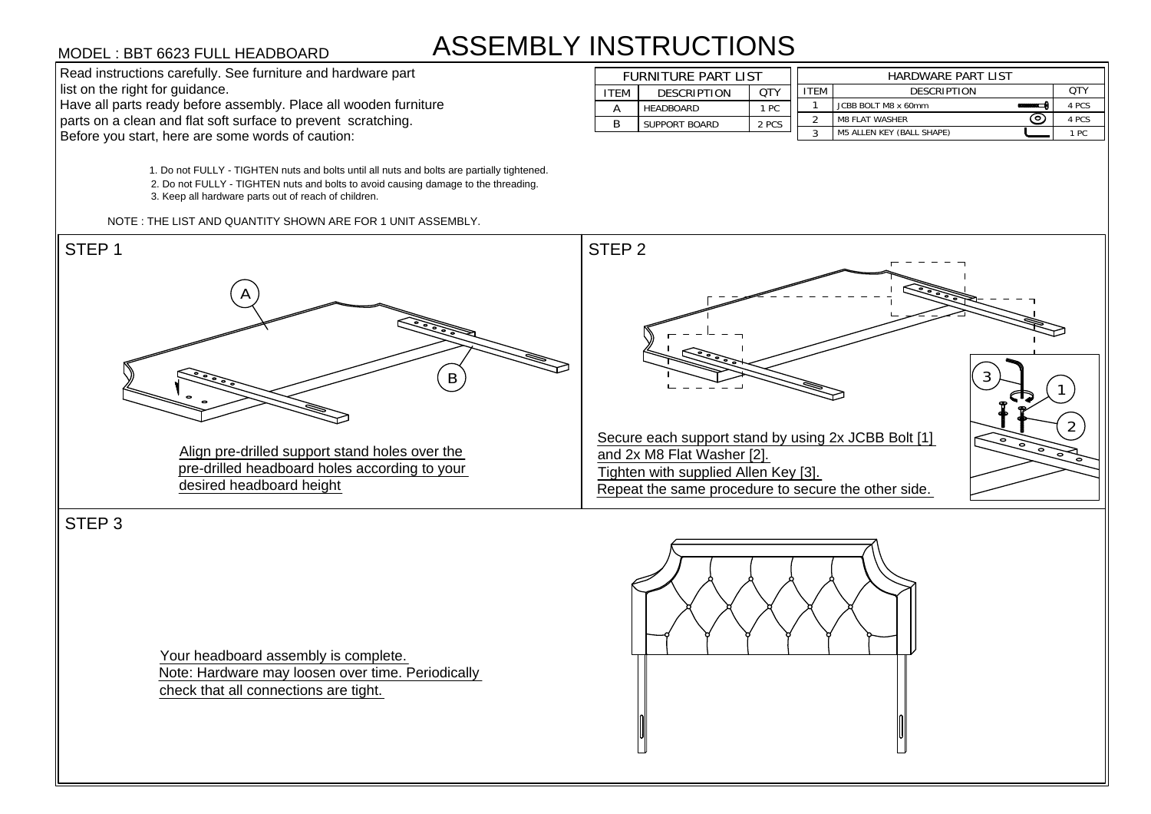## ASSEMBLY INSTRUCTIONS

1. Do not FULLY - TIGHTEN nuts and bolts until all nuts and bolts are partially tightened. 2. Do not FULLY - TIGHTEN nuts and bolts to avoid causing damage to the threading. 3. Keep all hardware parts out of reach of children.

NOTE : THE LIST AND QUANTITY SHOWN ARE FOR 1 UNIT ASSEMBLY.





STEP 3

Your headboard assembly is complete. Note: Hardware may loosen over time. Periodically MODEL : BBT 6623 FULL HEADBOARD<br>
Read instructions carefully. See furniture and hardwar<br>
list on the right for guidance.<br>
Have all parts ready before assembly. Place all woods<br>
parts on a clean and flat soft surface to pre